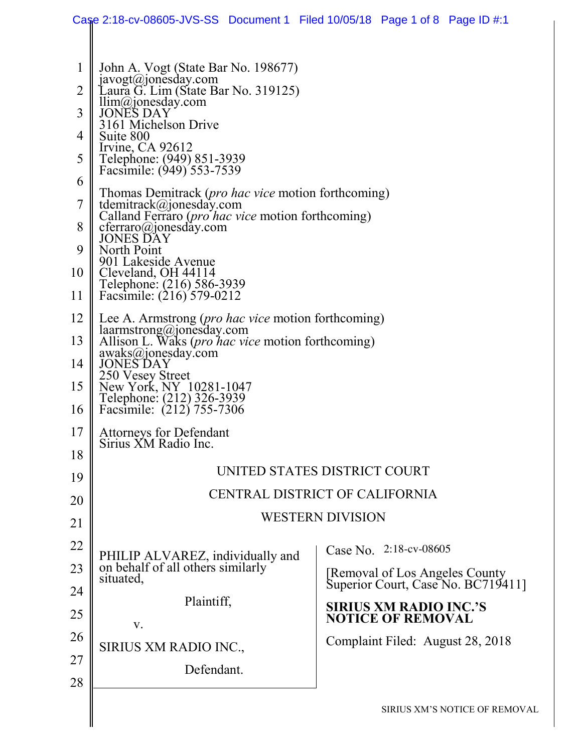|                                                                                                                   |                                                                                                                                                                                                                                                                                                                                                                                                                                                                                                                                                                                                                                                                                                                                                                                                                                                                                                                                                                    | Case 2:18-cv-08605-JVS-SS Document 1 Filed 10/05/18 Page 1 of 8 Page ID #:1 |  |  |  |  |  |
|-------------------------------------------------------------------------------------------------------------------|--------------------------------------------------------------------------------------------------------------------------------------------------------------------------------------------------------------------------------------------------------------------------------------------------------------------------------------------------------------------------------------------------------------------------------------------------------------------------------------------------------------------------------------------------------------------------------------------------------------------------------------------------------------------------------------------------------------------------------------------------------------------------------------------------------------------------------------------------------------------------------------------------------------------------------------------------------------------|-----------------------------------------------------------------------------|--|--|--|--|--|
| $\mathbf{1}$<br>$\overline{2}$<br>3<br>4<br>5<br>6<br>7<br>8<br>9<br>10<br>11<br>12<br>13<br>14<br>15<br>16<br>17 | John A. Vogt (State Bar No. 198677)<br>javogt@jonesday.com<br>Laura G. Lim (State Bar No. 319125)<br>llim@jonesday.com<br>JONES DAY<br>3161 Michelson Drive<br>Suite 800<br>Irvine, $CA$ 92612<br>Telephone: (949) 851-3939<br>Facsimile: (949) 553-7539<br>Thomas Demitrack ( <i>pro hac vice</i> motion forthcoming)<br>tdemitrack@jonesday.com<br>Calland Ferraro ( <i>pro hac vice</i> motion forthcoming)<br>$c \nterraro(\omega)$ onesday.com<br><b>JONES DAY</b><br>North Point<br>901 Lakeside Avenue<br>Cleveland, OH 44114<br>Telephone: (216) 586-3939<br>Facsimile: (216) 579-0212<br>Lee A. Armstrong ( <i>pro hac vice</i> motion forthcoming)<br>laarmstrong@jonesday.com<br>Allison L. Waks ( <i>pro hac vice</i> motion forthcoming)<br>awaks@jonesday.com<br><b>JONES DAY</b><br>250 Vesey Street<br>New York, NY 10281-1047<br>Telephone: (212) 326-3939<br>Facsimile: (212) 755-7306<br><b>Attorneys for Defendant</b><br>Sirius XM Radio Inc. |                                                                             |  |  |  |  |  |
| 18                                                                                                                | UNITED STATES DISTRICT COURT                                                                                                                                                                                                                                                                                                                                                                                                                                                                                                                                                                                                                                                                                                                                                                                                                                                                                                                                       |                                                                             |  |  |  |  |  |
| 19<br>20                                                                                                          | CENTRAL DISTRICT OF CALIFORNIA                                                                                                                                                                                                                                                                                                                                                                                                                                                                                                                                                                                                                                                                                                                                                                                                                                                                                                                                     |                                                                             |  |  |  |  |  |
| 21                                                                                                                | <b>WESTERN DIVISION</b>                                                                                                                                                                                                                                                                                                                                                                                                                                                                                                                                                                                                                                                                                                                                                                                                                                                                                                                                            |                                                                             |  |  |  |  |  |
| 22                                                                                                                |                                                                                                                                                                                                                                                                                                                                                                                                                                                                                                                                                                                                                                                                                                                                                                                                                                                                                                                                                                    | Case No. 2:18-cv-08605                                                      |  |  |  |  |  |
| 23                                                                                                                | PHILIP ALVAREZ, individually and<br>on behalf of all others similarly                                                                                                                                                                                                                                                                                                                                                                                                                                                                                                                                                                                                                                                                                                                                                                                                                                                                                              |                                                                             |  |  |  |  |  |
| 24                                                                                                                | situated,                                                                                                                                                                                                                                                                                                                                                                                                                                                                                                                                                                                                                                                                                                                                                                                                                                                                                                                                                          | [Removal of Los Angeles County<br>Superior Court, Case No. BC719411]        |  |  |  |  |  |
| 25                                                                                                                | Plaintiff,                                                                                                                                                                                                                                                                                                                                                                                                                                                                                                                                                                                                                                                                                                                                                                                                                                                                                                                                                         | <b>SIRIUS XM RADIO INC.'S</b><br><b>NOTICE OF REMOVAL</b>                   |  |  |  |  |  |
| 26                                                                                                                | V.                                                                                                                                                                                                                                                                                                                                                                                                                                                                                                                                                                                                                                                                                                                                                                                                                                                                                                                                                                 | Complaint Filed: August 28, 2018                                            |  |  |  |  |  |
| 27                                                                                                                | SIRIUS XM RADIO INC.,<br>Defendant.                                                                                                                                                                                                                                                                                                                                                                                                                                                                                                                                                                                                                                                                                                                                                                                                                                                                                                                                |                                                                             |  |  |  |  |  |
| 28                                                                                                                |                                                                                                                                                                                                                                                                                                                                                                                                                                                                                                                                                                                                                                                                                                                                                                                                                                                                                                                                                                    |                                                                             |  |  |  |  |  |
|                                                                                                                   |                                                                                                                                                                                                                                                                                                                                                                                                                                                                                                                                                                                                                                                                                                                                                                                                                                                                                                                                                                    | SIRIUS XM'S NOTICE OF REMOVAL                                               |  |  |  |  |  |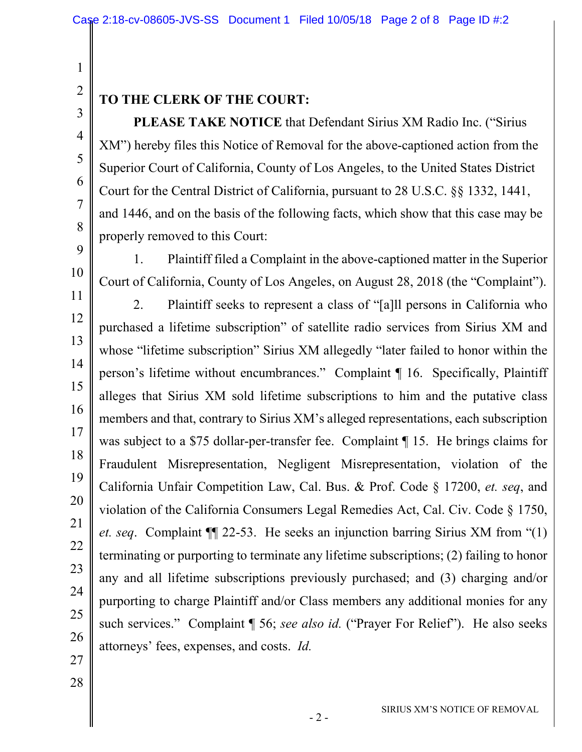### 2 3

4

5

6

7

8

9

10

1

#### **TO THE CLERK OF THE COURT:**

**PLEASE TAKE NOTICE** that Defendant Sirius XM Radio Inc. ("Sirius XM") hereby files this Notice of Removal for the above-captioned action from the Superior Court of California, County of Los Angeles, to the United States District Court for the Central District of California, pursuant to 28 U.S.C. §§ 1332, 1441, and 1446, and on the basis of the following facts, which show that this case may be properly removed to this Court:

1. Plaintiff filed a Complaint in the above-captioned matter in the Superior Court of California, County of Los Angeles, on August 28, 2018 (the "Complaint").

11 12 13 14 15 16 17 18 19 20 21 22 23 24 25 26 2. Plaintiff seeks to represent a class of "[a]ll persons in California who purchased a lifetime subscription" of satellite radio services from Sirius XM and whose "lifetime subscription" Sirius XM allegedly "later failed to honor within the person's lifetime without encumbrances." Complaint ¶ 16. Specifically, Plaintiff alleges that Sirius XM sold lifetime subscriptions to him and the putative class members and that, contrary to Sirius XM's alleged representations, each subscription was subject to a \$75 dollar-per-transfer fee. Complaint ¶ 15. He brings claims for Fraudulent Misrepresentation, Negligent Misrepresentation, violation of the California Unfair Competition Law, Cal. Bus. & Prof. Code § 17200, *et. seq*, and violation of the California Consumers Legal Remedies Act, Cal. Civ. Code § 1750, *et. seq*. Complaint ¶¶ 22-53. He seeks an injunction barring Sirius XM from "(1) terminating or purporting to terminate any lifetime subscriptions; (2) failing to honor any and all lifetime subscriptions previously purchased; and (3) charging and/or purporting to charge Plaintiff and/or Class members any additional monies for any such services." Complaint ¶ 56; *see also id.* ("Prayer For Relief"). He also seeks attorneys' fees, expenses, and costs. *Id.*

27 28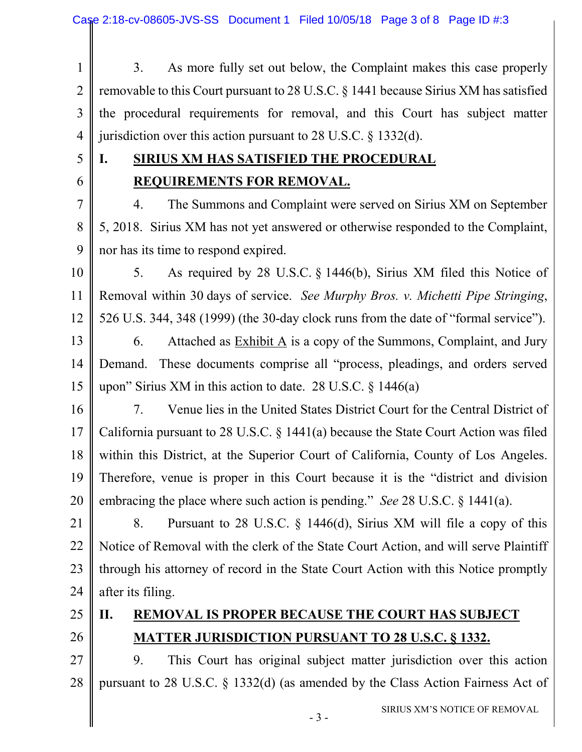- 1 2 3 4 3. As more fully set out below, the Complaint makes this case properly removable to this Court pursuant to 28 U.S.C. § 1441 because Sirius XM has satisfied the procedural requirements for removal, and this Court has subject matter jurisdiction over this action pursuant to 28 U.S.C. § 1332(d).
- 5
- 6

## **I. SIRIUS XM HAS SATISFIED THE PROCEDURAL REQUIREMENTS FOR REMOVAL.**

7 8 9 4. The Summons and Complaint were served on Sirius XM on September 5, 2018. Sirius XM has not yet answered or otherwise responded to the Complaint, nor has its time to respond expired.

- 10 11 12 5. As required by 28 U.S.C. § 1446(b), Sirius XM filed this Notice of Removal within 30 days of service. *See Murphy Bros. v. Michetti Pipe Stringing*, 526 U.S. 344, 348 (1999) (the 30-day clock runs from the date of "formal service").
- 13 14 15 6. Attached as Exhibit A is a copy of the Summons, Complaint, and Jury Demand. These documents comprise all "process, pleadings, and orders served upon" Sirius XM in this action to date. 28 U.S.C.  $\frac{1446(a)}{a}$
- 16 17 18 19 20 7. Venue lies in the United States District Court for the Central District of California pursuant to 28 U.S.C. § 1441(a) because the State Court Action was filed within this District, at the Superior Court of California, County of Los Angeles. Therefore, venue is proper in this Court because it is the "district and division embracing the place where such action is pending." *See* 28 U.S.C. § 1441(a).
- 21 22 23 24 8. Pursuant to 28 U.S.C. § 1446(d), Sirius XM will file a copy of this Notice of Removal with the clerk of the State Court Action, and will serve Plaintiff through his attorney of record in the State Court Action with this Notice promptly after its filing.
- 25
- 26

### **II. REMOVAL IS PROPER BECAUSE THE COURT HAS SUBJECT MATTER JURISDICTION PURSUANT TO 28 U.S.C. § 1332.**

27 28 9. This Court has original subject matter jurisdiction over this action pursuant to 28 U.S.C. § 1332(d) (as amended by the Class Action Fairness Act of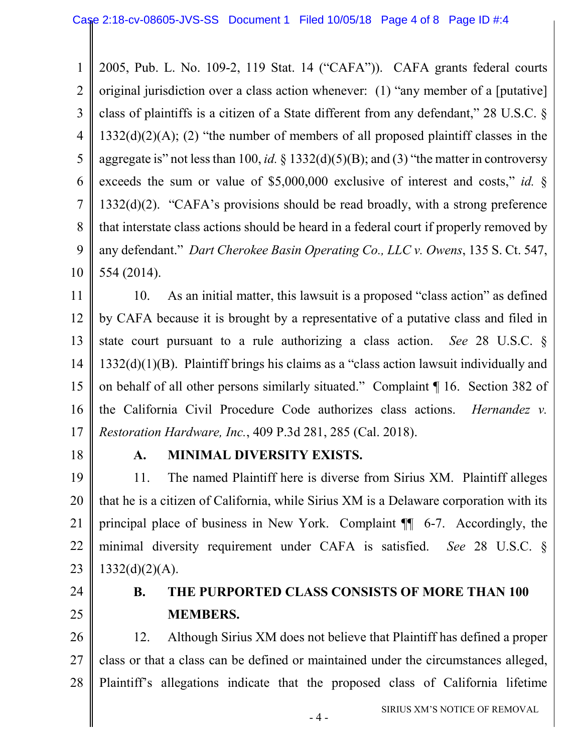1 2 3 4 5 6 7 8 9 10 2005, Pub. L. No. 109-2, 119 Stat. 14 ("CAFA")). CAFA grants federal courts original jurisdiction over a class action whenever: (1) "any member of a [putative] class of plaintiffs is a citizen of a State different from any defendant," 28 U.S.C. §  $1332(d)(2)(A)$ ; (2) "the number of members of all proposed plaintiff classes in the aggregate is" not less than 100, *id.* § 1332(d)(5)(B); and (3) "the matter in controversy exceeds the sum or value of \$5,000,000 exclusive of interest and costs," *id.* § 1332(d)(2). "CAFA's provisions should be read broadly, with a strong preference that interstate class actions should be heard in a federal court if properly removed by any defendant." *Dart Cherokee Basin Operating Co., LLC v. Owens*, 135 S. Ct. 547, 554 (2014).

11 12 13 14 15 16 17 10. As an initial matter, this lawsuit is a proposed "class action" as defined by CAFA because it is brought by a representative of a putative class and filed in state court pursuant to a rule authorizing a class action. *See* 28 U.S.C. § 1332(d)(1)(B). Plaintiff brings his claims as a "class action lawsuit individually and on behalf of all other persons similarly situated." Complaint ¶ 16. Section 382 of the California Civil Procedure Code authorizes class actions. *Hernandez v. Restoration Hardware, Inc.*, 409 P.3d 281, 285 (Cal. 2018).

18

#### **A. MINIMAL DIVERSITY EXISTS.**

19 20 21 22 23 11. The named Plaintiff here is diverse from Sirius XM. Plaintiff alleges that he is a citizen of California, while Sirius XM is a Delaware corporation with its principal place of business in New York. Complaint ¶¶ 6-7. Accordingly, the minimal diversity requirement under CAFA is satisfied. *See* 28 U.S.C. §  $1332(d)(2)(A)$ .

24

25

## **B. THE PURPORTED CLASS CONSISTS OF MORE THAN 100 MEMBERS.**

26 27 28 12. Although Sirius XM does not believe that Plaintiff has defined a proper class or that a class can be defined or maintained under the circumstances alleged, Plaintiff's allegations indicate that the proposed class of California lifetime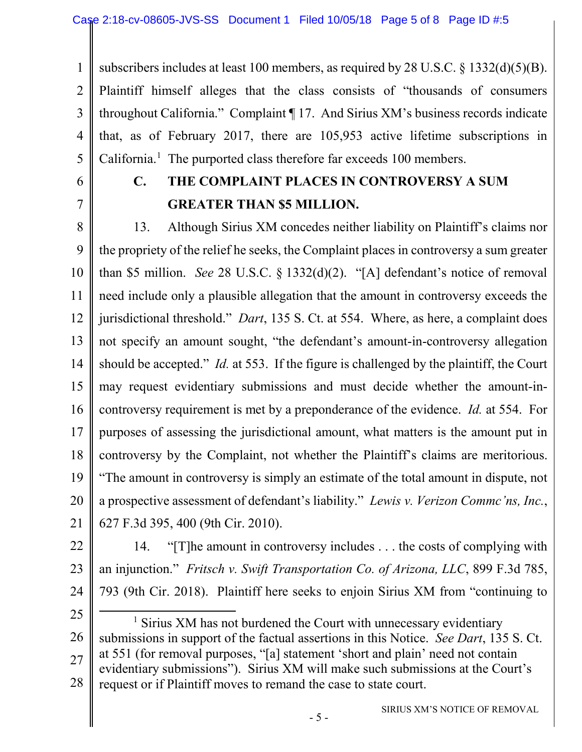1 2 3 4 5 subscribers includes at least 100 members, as required by 28 U.S.C. § 1332(d)(5)(B). Plaintiff himself alleges that the class consists of "thousands of consumers throughout California." Complaint ¶ 17. And Sirius XM's business records indicate that, as of February 2017, there are 105,953 active lifetime subscriptions in California. $<sup>1</sup>$  $<sup>1</sup>$  $<sup>1</sup>$  The purported class therefore far exceeds 100 members.</sup>

6 7

# **C. THE COMPLAINT PLACES IN CONTROVERSY A SUM GREATER THAN \$5 MILLION.**

8 9 10 11 12 13 14 15 16 17 18 19 20 21 13. Although Sirius XM concedes neither liability on Plaintiff's claims nor the propriety of the relief he seeks, the Complaint places in controversy a sum greater than \$5 million. *See* 28 U.S.C. § 1332(d)(2). "[A] defendant's notice of removal need include only a plausible allegation that the amount in controversy exceeds the jurisdictional threshold." *Dart*, 135 S. Ct. at 554. Where, as here, a complaint does not specify an amount sought, "the defendant's amount-in-controversy allegation should be accepted." *Id.* at 553. If the figure is challenged by the plaintiff, the Court may request evidentiary submissions and must decide whether the amount-incontroversy requirement is met by a preponderance of the evidence. *Id.* at 554. For purposes of assessing the jurisdictional amount, what matters is the amount put in controversy by the Complaint, not whether the Plaintiff's claims are meritorious. "The amount in controversy is simply an estimate of the total amount in dispute, not a prospective assessment of defendant's liability." *Lewis v. Verizon Commc'ns, Inc.*, 627 F.3d 395, 400 (9th Cir. 2010).

22

23 24 14. "[T]he amount in controversy includes . . . the costs of complying with an injunction." *Fritsch v. Swift Transportation Co. of Arizona, LLC*, 899 F.3d 785, 793 (9th Cir. 2018). Plaintiff here seeks to enjoin Sirius XM from "continuing to

25

<span id="page-4-0"></span>26 27 28  $<sup>1</sup>$  Sirius XM has not burdened the Court with unnecessary evidentiary</sup> submissions in support of the factual assertions in this Notice. *See Dart*, 135 S. Ct. at 551 (for removal purposes, "[a] statement 'short and plain' need not contain evidentiary submissions"). Sirius XM will make such submissions at the Court's request or if Plaintiff moves to remand the case to state court.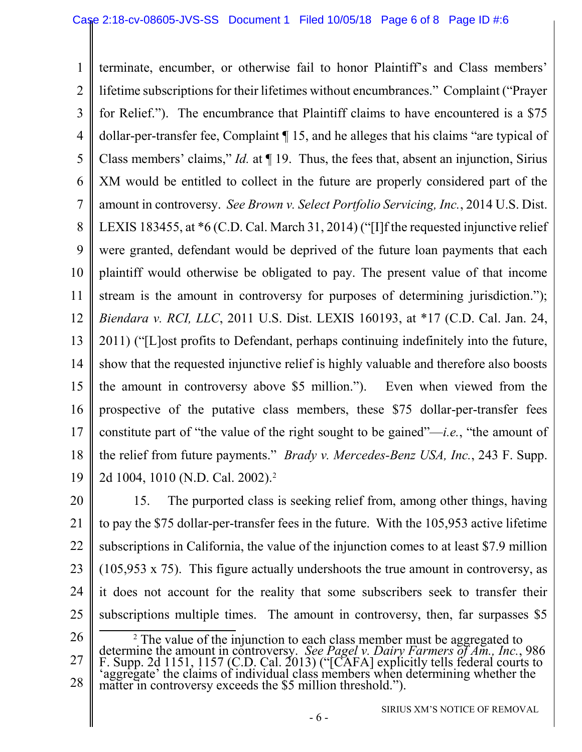1 2 3 4 5 6 7 8 9 10 11 12 13 14 15 16 17 18 19 terminate, encumber, or otherwise fail to honor Plaintiff's and Class members' lifetime subscriptions for their lifetimes without encumbrances." Complaint ("Prayer for Relief."). The encumbrance that Plaintiff claims to have encountered is a \$75 dollar-per-transfer fee, Complaint ¶ 15, and he alleges that his claims "are typical of Class members' claims," *Id.* at ¶ 19. Thus, the fees that, absent an injunction, Sirius XM would be entitled to collect in the future are properly considered part of the amount in controversy. *See Brown v. Select Portfolio Servicing, Inc.*, 2014 U.S. Dist. LEXIS 183455, at \*6 (C.D. Cal. March 31, 2014) ("[I]f the requested injunctive relief were granted, defendant would be deprived of the future loan payments that each plaintiff would otherwise be obligated to pay. The present value of that income stream is the amount in controversy for purposes of determining jurisdiction."); *Biendara v. RCI, LLC*, 2011 U.S. Dist. LEXIS 160193, at \*17 (C.D. Cal. Jan. 24, 2011) ("[L]ost profits to Defendant, perhaps continuing indefinitely into the future, show that the requested injunctive relief is highly valuable and therefore also boosts the amount in controversy above \$5 million."). Even when viewed from the prospective of the putative class members, these \$75 dollar-per-transfer fees constitute part of "the value of the right sought to be gained"—*i.e.*, "the amount of the relief from future payments." *Brady v. Mercedes-Benz USA, Inc.*, 243 F. Supp. 2d 1004, 1010 (N.D. Cal. 2002).[2](#page-5-0)

20 21 22 23 24 25 15. The purported class is seeking relief from, among other things, having to pay the \$75 dollar-per-transfer fees in the future. With the 105,953 active lifetime subscriptions in California, the value of the injunction comes to at least \$7.9 million (105,953 x 75). This figure actually undershoots the true amount in controversy, as it does not account for the reality that some subscribers seek to transfer their subscriptions multiple times. The amount in controversy, then, far surpasses \$5

<span id="page-5-0"></span><sup>26</sup>

<sup>27</sup> 28 <sup>2</sup> The value of the injunction to each class member must be aggregated to determine the amount in controversy. *See Pagel v. Dairy Farmers of Am., Inc.*, 986 F. Supp. 2d 1151, 1157 (C.D. Cal. 2013) ("[CAFA] explicitly te 'aggregate' the claims of individual class members when determining whether the matter in controversy exceeds the \$5 million threshold.").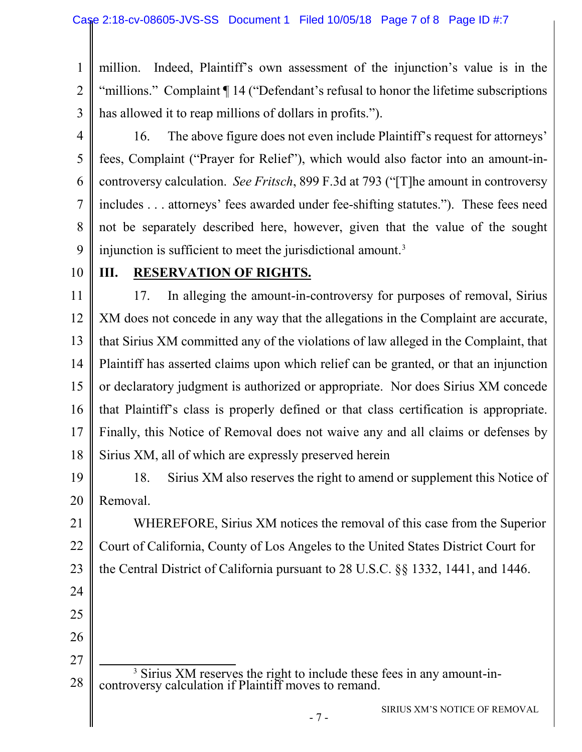1 2 3 million. Indeed, Plaintiff's own assessment of the injunction's value is in the "millions." Complaint ¶ 14 ("Defendant's refusal to honor the lifetime subscriptions has allowed it to reap millions of dollars in profits.").

4

5 6 7 8 9 16. The above figure does not even include Plaintiff's request for attorneys' fees, Complaint ("Prayer for Relief"), which would also factor into an amount-incontroversy calculation. *See Fritsch*, 899 F.3d at 793 ("[T]he amount in controversy includes . . . attorneys' fees awarded under fee-shifting statutes."). These fees need not be separately described here, however, given that the value of the sought injunction is sufficient to meet the jurisdictional amount.<sup>[3](#page-6-0)</sup>

10

#### **III. RESERVATION OF RIGHTS.**

11 12 13 14 15 16 17 18 17. In alleging the amount-in-controversy for purposes of removal, Sirius XM does not concede in any way that the allegations in the Complaint are accurate, that Sirius XM committed any of the violations of law alleged in the Complaint, that Plaintiff has asserted claims upon which relief can be granted, or that an injunction or declaratory judgment is authorized or appropriate. Nor does Sirius XM concede that Plaintiff's class is properly defined or that class certification is appropriate. Finally, this Notice of Removal does not waive any and all claims or defenses by Sirius XM, all of which are expressly preserved herein

19 20 18. Sirius XM also reserves the right to amend or supplement this Notice of Removal.

21 22 23 WHEREFORE, Sirius XM notices the removal of this case from the Superior Court of California, County of Los Angeles to the United States District Court for the Central District of California pursuant to 28 U.S.C. §§ 1332, 1441, and 1446.

- 24 25
- 26

27

<span id="page-6-0"></span><sup>28</sup> <sup>3</sup> Sirius XM reserves the right to include these fees in any amount-in-controversy calculation if Plaintiff moves to remand.